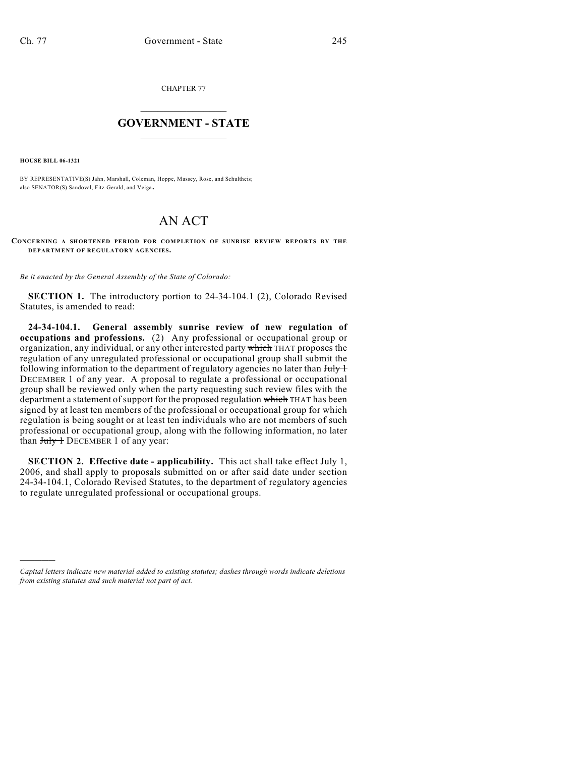CHAPTER 77

## $\mathcal{L}_\text{max}$  . The set of the set of the set of the set of the set of the set of the set of the set of the set of the set of the set of the set of the set of the set of the set of the set of the set of the set of the set **GOVERNMENT - STATE**  $\_$   $\_$

**HOUSE BILL 06-1321**

)))))

BY REPRESENTATIVE(S) Jahn, Marshall, Coleman, Hoppe, Massey, Rose, and Schultheis; also SENATOR(S) Sandoval, Fitz-Gerald, and Veiga.

## AN ACT

**CONCERNING A SHORTENED PERIOD FOR COMPLETION OF SUNRISE REVIEW REPORTS BY THE DEPARTMENT OF REGULATORY AGENCIES.**

*Be it enacted by the General Assembly of the State of Colorado:*

**SECTION 1.** The introductory portion to 24-34-104.1 (2), Colorado Revised Statutes, is amended to read:

**24-34-104.1. General assembly sunrise review of new regulation of occupations and professions.** (2) Any professional or occupational group or organization, any individual, or any other interested party which THAT proposes the regulation of any unregulated professional or occupational group shall submit the following information to the department of regulatory agencies no later than  $J_{\text{uly}} +$ DECEMBER 1 of any year. A proposal to regulate a professional or occupational group shall be reviewed only when the party requesting such review files with the department a statement of support for the proposed regulation which THAT has been signed by at least ten members of the professional or occupational group for which regulation is being sought or at least ten individuals who are not members of such professional or occupational group, along with the following information, no later than  $July + DECEMBER 1$  of any year:

**SECTION 2. Effective date - applicability.** This act shall take effect July 1, 2006, and shall apply to proposals submitted on or after said date under section 24-34-104.1, Colorado Revised Statutes, to the department of regulatory agencies to regulate unregulated professional or occupational groups.

*Capital letters indicate new material added to existing statutes; dashes through words indicate deletions from existing statutes and such material not part of act.*